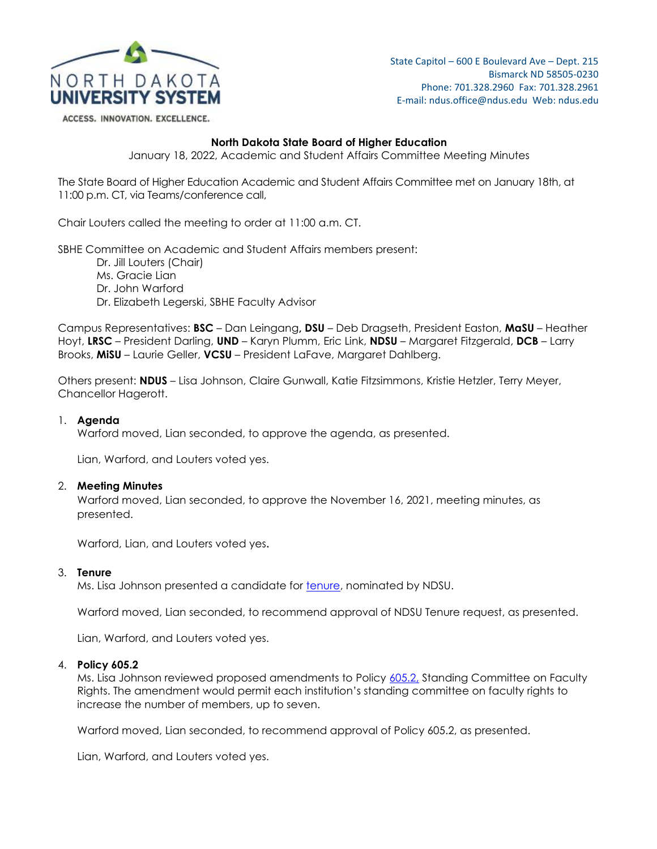

State Capitol – 600 E Boulevard Ave – Dept. 215 Bismarck ND 58505-0230 Phone: 701.328.2960 Fax: 701.328.2961 E-mail: ndus.office@ndus.edu Web: ndus.edu

ACCESS. INNOVATION. EXCELLENCE.

## **North Dakota State Board of Higher Education**

January 18, 2022, Academic and Student Affairs Committee Meeting Minutes

The State Board of Higher Education Academic and Student Affairs Committee met on January 18th, at 11:00 p.m. CT, via Teams/conference call,

Chair Louters called the meeting to order at 11:00 a.m. CT.

SBHE Committee on Academic and Student Affairs members present:

Dr. Jill Louters (Chair) Ms. Gracie Lian Dr. John Warford Dr. Elizabeth Legerski, SBHE Faculty Advisor

Campus Representatives: **BSC** – Dan Leingang**, DSU** – Deb Dragseth, President Easton, **MaSU** – Heather Hoyt, **LRSC** – President Darling, **UND** – Karyn Plumm, Eric Link, **NDSU** – Margaret Fitzgerald, **DCB** – Larry Brooks, **MiSU** – Laurie Geller, **VCSU** – President LaFave, Margaret Dahlberg.

Others present: **NDUS** – Lisa Johnson, Claire Gunwall, Katie Fitzsimmons, Kristie Hetzler, Terry Meyer, Chancellor Hagerott.

### 1. **Agenda**

Warford moved, Lian seconded, to approve the agenda, as presented.

Lian, Warford, and Louters voted yes.

#### 2. **Meeting Minutes**

Warford moved, Lian seconded, to approve the November 16, 2021, meeting minutes, as presented.

Warford, Lian, and Louters voted yes.

#### 3. **Tenure**

Ms. Lisa Johnson presented a candidate for **tenure**, nominated by NDSU.

Warford moved, Lian seconded, to recommend approval of NDSU Tenure request, as presented.

Lian, Warford, and Louters voted yes.

#### 4. **Policy 605.2**

Ms. Lisa Johnson reviewed proposed amendments to Policy [605.2,](https://ndusbpos.sharepoint.com/:b:/s/NDUSSBHE/EYVLvU8VMCRJrvQ2xyu4yekBNaN1C_7MU__RP8ZQff4bsw?e=nsms6R) Standing Committee on Faculty Rights. The amendment would permit each institution's standing committee on faculty rights to increase the number of members, up to seven.

Warford moved, Lian seconded, to recommend approval of Policy 605.2, as presented.

Lian, Warford, and Louters voted yes.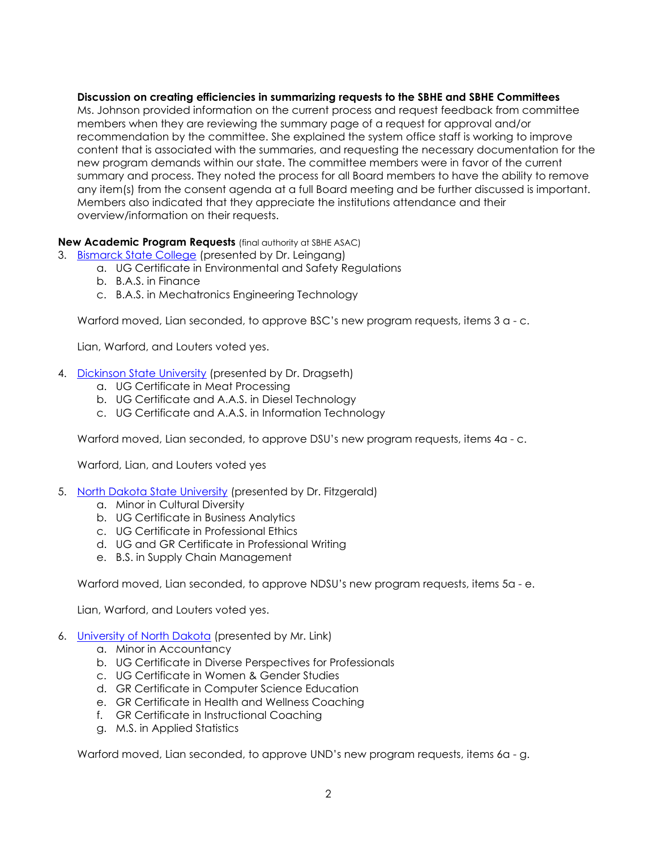# **Discussion on creating efficiencies in summarizing requests to the SBHE and SBHE Committees**

Ms. Johnson provided information on the current process and request feedback from committee members when they are reviewing the summary page of a request for approval and/or recommendation by the committee. She explained the system office staff is working to improve content that is associated with the summaries, and requesting the necessary documentation for the new program demands within our state. The committee members were in favor of the current summary and process. They noted the process for all Board members to have the ability to remove any item(s) from the consent agenda at a full Board meeting and be further discussed is important. Members also indicated that they appreciate the institutions attendance and their overview/information on their requests.

# **New Academic Program Requests** (final authority at SBHE ASAC)

- 3. [Bismarck State College](https://ndusbpos.sharepoint.com/:b:/s/NDUSSBHE/EU69tmnI_6BCt-1sFWDwj3YBwuCLYebSQzAG0PVWh-cNGQ?e=cMuIfi) (presented by Dr. Leingang)
	- a. UG Certificate in Environmental and Safety Regulations
	- b. B.A.S. in Finance
	- c. B.A.S. in Mechatronics Engineering Technology

Warford moved, Lian seconded, to approve BSC's new program requests, items 3 a - c.

Lian, Warford, and Louters voted yes.

- 4. [Dickinson State University](https://ndusbpos.sharepoint.com/:b:/s/NDUSSBHE/EdyJLgpk2DhBuvDDijpqMawBAppHe4Nrn6pj07hgy11vFw?e=yAcZp6) (presented by Dr. Dragseth)
	- a. UG Certificate in Meat Processing
	- b. UG Certificate and A.A.S. in Diesel Technology
	- c. UG Certificate and A.A.S. in Information Technology

Warford moved, Lian seconded, to approve DSU's new program requests, items 4a - c.

Warford, Lian, and Louters voted yes

- 5. [North Dakota State University](https://ndusbpos.sharepoint.com/:b:/s/NDUSSBHE/ER9EVw-4NuxFmPxdgaahM8YBzLsHRx9wz1ANyGCMBRrQcg?e=XQH53A) (presented by Dr. Fitzgerald)
	- a. Minor in Cultural Diversity
	- b. UG Certificate in Business Analytics
	- c. UG Certificate in Professional Ethics
	- d. UG and GR Certificate in Professional Writing
	- e. B.S. in Supply Chain Management

Warford moved, Lian seconded, to approve NDSU's new program requests, items 5a - e.

Lian, Warford, and Louters voted yes.

- 6. [University of North Dakota](https://ndusbpos.sharepoint.com/:b:/s/NDUSSBHE/Ee-8B9TS09tIuwTkjryITmsBOAHT-i9ydcDYjq3u90oLiw?e=kOmKlo) (presented by Mr. Link)
	- a. Minor in Accountancy
	- b. UG Certificate in Diverse Perspectives for Professionals
	- c. UG Certificate in Women & Gender Studies
	- d. GR Certificate in Computer Science Education
	- e. GR Certificate in Health and Wellness Coaching
	- f. GR Certificate in Instructional Coaching
	- g. M.S. in Applied Statistics

Warford moved, Lian seconded, to approve UND's new program requests, items 6a - g.